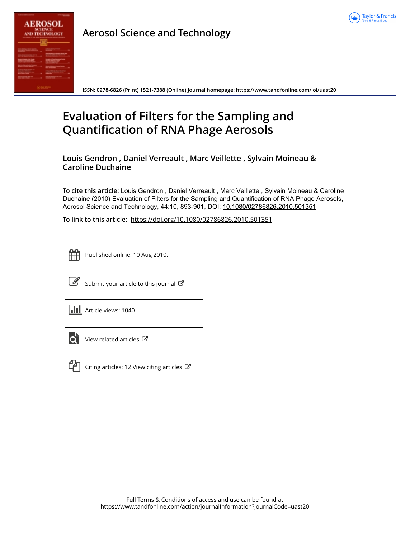

**Aerosol Science and Technology**

**ISSN: 0278-6826 (Print) 1521-7388 (Online) Journal homepage:<https://www.tandfonline.com/loi/uast20>**

# **Evaluation of Filters for the Sampling and Quantification of RNA Phage Aerosols**

**Louis Gendron , Daniel Verreault , Marc Veillette , Sylvain Moineau & Caroline Duchaine**

**To cite this article:** Louis Gendron , Daniel Verreault , Marc Veillette , Sylvain Moineau & Caroline Duchaine (2010) Evaluation of Filters for the Sampling and Quantification of RNA Phage Aerosols, Aerosol Science and Technology, 44:10, 893-901, DOI: [10.1080/02786826.2010.501351](https://www.tandfonline.com/action/showCitFormats?doi=10.1080/02786826.2010.501351)

**To link to this article:** <https://doi.org/10.1080/02786826.2010.501351>



Published online: 10 Aug 2010.



[Submit your article to this journal](https://www.tandfonline.com/action/authorSubmission?journalCode=uast20&show=instructions)  $\mathbb{C}$ 

**III** Article views: 1040



 $\overrightarrow{O}$  [View related articles](https://www.tandfonline.com/doi/mlt/10.1080/02786826.2010.501351)  $\overrightarrow{C}$ 



 $\mathbb{C}$  [Citing articles: 12 View citing articles](https://www.tandfonline.com/doi/citedby/10.1080/02786826.2010.501351#tabModule)  $\mathbb{C}$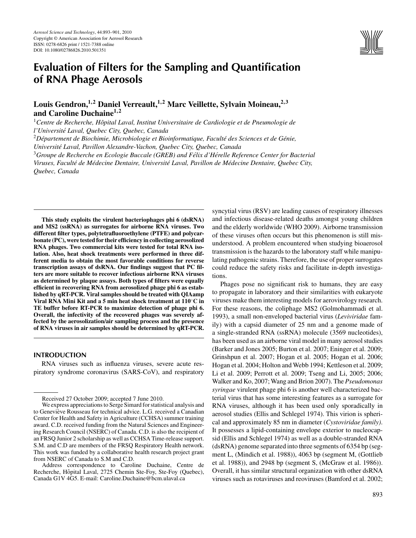

## **Evaluation of Filters for the Sampling and Quantification of RNA Phage Aerosols**

## **Louis Gendron,<sup>1</sup>***,***<sup>2</sup> Daniel Verreault,<sup>1</sup>***,***<sup>2</sup> Marc Veillette, Sylvain Moineau,2***,***<sup>3</sup> and Caroline Duchaine<sup>1</sup>***,***<sup>2</sup>**

<sup>1</sup> Centre de Recherche, Hôpital Laval, Institut Universitaire de Cardiologie et de Pneumologie de *l'Universite Laval, Quebec City, Quebec, Canada ´*

<sup>2</sup>Département de Biochimie, Microbiologie et Bioinformatique, Faculté des Sciences et de Génie,

*Universite Laval, Pavillon Alexandre-Vachon, Quebec City, Quebec, Canada ´*

<sup>3</sup> Groupe de Recherche en Ecologie Buccale (GREB) and Félix d'Hérelle Reference Center for Bacterial *Viruses, Faculte de M ´ edecine Dentaire, Universit ´ e Laval, Pavillon de M ´ edecine Dentaire, Quebec City, ´*

*Quebec, Canada*

**This study exploits the virulent bacteriophages phi 6 (dsRNA) and MS2 (ssRNA) as surrogates for airborne RNA viruses. Two different filter types, polytetrafluoroethylene (PTFE) and polycarbonate (PC), were tested for their efficiency in collecting aerosolized RNA phages. Two commercial kits were tested for total RNA isolation. Also, heat shock treatments were performed in three different media to obtain the most favorable conditions for reverse transcription assays of dsRNA. Our findings suggest that PC filters are more suitable to recover infectious airborne RNA viruses as determined by plaque assays. Both types of filters were equally efficient in recovering RNA from aerosolized phage phi 6 as established by qRT-PCR. Viral samples should be treated with QIAamp Viral RNA Mini Kit and a 5 min heat shock treatment at 110**◦**C in TE buffer before RT-PCR to maximize detection of phage phi 6. Overall, the infectivity of the recovered phages was severely affected by the aerosolization/air sampling process and the presence of RNA viruses in air samples should be determined by qRT-PCR.**

## **INTRODUCTION**

RNA viruses such as influenza viruses, severe acute respiratory syndrome coronavirus (SARS-CoV), and respiratory syncytial virus (RSV) are leading causes of respiratory illnesses and infectious disease-related deaths amongst young children and the elderly worldwide (WHO 2009). Airborne transmission of these viruses often occurs but this phenomenon is still misunderstood. A problem encountered when studying bioaerosol transmission is the hazards to the laboratory staff while manipulating pathogenic strains. Therefore, the use of proper surrogates could reduce the safety risks and facilitate in-depth investigations.

Phages pose no significant risk to humans, they are easy to propagate in laboratory and their similarities with eukaryote viruses make them interesting models for aerovirology research. For these reasons, the coliphage MS2 (Golmohammadi et al. 1993), a small non-enveloped bacterial virus (*Leviviridae* family) with a capsid diameter of 25 nm and a genome made of a single-stranded RNA (ssRNA) molecule (3569 nucleotides), has been used as an airborne viral model in many aerosol studies (Barker and Jones 2005; Burton et al. 2007; Eninger et al. 2009; Grinshpun et al. 2007; Hogan et al. 2005; Hogan et al. 2006; Hogan et al. 2004; Holton and Webb 1994; Kettleson et al. 2009; Li et al. 2009; Perrott et al. 2009; Tseng and Li, 2005; 2006; Walker and Ko, 2007; Wang and Brion 2007). The *Pseudomonas syringae* virulent phage phi 6 is another well characterized bacterial virus that has some interesting features as a surrogate for RNA viruses, although it has been used only sporadically in aerosol studies (Ellis and Schlegel 1974). This virion is spherical and approximately 85 nm in diameter (*Cystoviridae family)*. It possesses a lipid-containing envelope exterior to nucleocapsid (Ellis and Schlegel 1974) as well as a double-stranded RNA (dsRNA) genome separated into three segments of 6354 bp (segment L, (Mindich et al. 1988)), 4063 bp (segment M, (Gottlieb et al. 1988)), and 2948 bp (segment S, (McGraw et al. 1986)). Overall, it has similar structural organization with other dsRNA viruses such as rotaviruses and reoviruses (Bamford et al. 2002;

Received 27 October 2009; accepted 7 June 2010.

We express appreciations to Serge Simard for statistical analysis and to Geneviève Rousseau for technical advice. L.G. received a Canadian Center for Health and Safety in Agriculture (CCHSA) summer training award. C.D. received funding from the Natural Sciences and Engineering Research Council (NSERC) of Canada. C.D. is also the recipient of an FRSQ Junior 2 scholarship as well as CCHSA Time-release support. S.M. and C.D are members of the FRSQ Respiratory Health network. This work was funded by a collaborative health research project grant from NSERC of Canada to S.M and C.D.

Address correspondence to Caroline Duchaine, Centre de Recherche, Hôpital Laval, 2725 Chemin Ste-Foy, Ste-Foy (Quebec), Canada G1V 4G5. E-mail: Caroline.Duchaine@bcm.ulaval.ca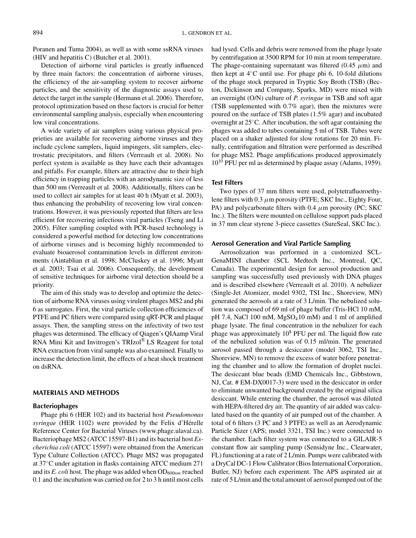Poranen and Tuma 2004), as well as with some ssRNA viruses (HIV and hepatitis C) (Butcher et al. 2001).

Detection of airborne viral particles is greatly influenced by three main factors: the concentration of airborne viruses, the efficiency of the air-sampling system to recover airborne particles, and the sensitivity of the diagnostic assays used to detect the target in the sample (Hermann et al. 2006). Therefore, protocol optimization based on these factors is crucial for better environmental sampling analysis, especially when encountering low viral concentrations.

A wide variety of air samplers using various physical proprieties are available for recovering airborne viruses and they include cyclone samplers, liquid impingers, slit samplers, electrostatic precipitators, and filters (Verreault et al. 2008). No perfect system is available as they have each their advantages and pitfalls. For example, filters are attractive due to their high efficiency in trapping particles with an aerodynamic size of less than 500 nm (Verreault et al. 2008). Additionally, filters can be used to collect air samples for at least 40 h (Myatt et al. 2003), thus enhancing the probability of recovering low viral concentrations. However, it was previously reported that filters are less efficient for recovering infectious viral particles (Tseng and Li 2005). Filter sampling coupled with PCR-based technology is considered a powerful method for detecting low concentrations of airborne viruses and is becoming highly recommended to evaluate bioaerosol contamination levels in different environments (Aintablian et al. 1998; McCluskey et al. 1996; Myatt et al. 2003; Tsai et al. 2006). Consequently, the development of sensitive techniques for airborne viral detection should be a priority.

The aim of this study was to develop and optimize the detection of airborne RNA viruses using virulent phages MS2 and phi 6 as surrogates. First, the viral particle collection efficiencies of PTFE and PC filters were compared using qRT-PCR and plaque assays. Then, the sampling stress on the infectivity of two test phages was determined. The efficacy of Qiagen's QIAamp Viral RNA Mini Kit and Invitrogen's TRIzol® LS Reagent for total RNA extraction from viral sample was also examined. Finally to increase the detection limit, the effects of a heat shock treatment on dsRNA.

## **MATERIALS AND METHODS**

## **Bacteriophages**

Phage phi 6 (HER 102) and its bacterial host *Pseudomonas syringae* (HER 1102) were provided by the Felix d'Hérelle Reference Center for Bacterial Viruses (www.phage.ulaval.ca). Bacteriophage MS2 (ATCC 15597-B1) and its bacterial host *Escherichia coli* (ATCC 15597) were obtained from the American Type Culture Collection (ATCC). Phage MS2 was propagated at 37◦C under agitation in flasks containing ATCC medium 271 and its *E. coli* host. The phage was added when OD<sub>600nm</sub> reached 0.1 and the incubation was carried on for 2 to 3 h until most cells had lysed. Cells and debris were removed from the phage lysate by centrifugation at 3500 RPM for 10 min at room temperature. The phage-containing supernatant was filtered  $(0.45 \mu m)$  and then kept at 4◦C until use. For phage phi 6, 10-fold dilutions of the phage stock prepared in Tryptic Soy Broth (TSB) (Becton, Dickinson and Company, Sparks, MD) were mixed with an overnight (O/N) culture of *P. syringae* in TSB and soft agar (TSB supplemented with 0.7% agar), then the mixtures were poured on the surface of TSB plates (1.5% agar) and incubated overnight at 25◦C. After incubation, the soft agar containing the phages was added to tubes containing 5 ml of TSB. Tubes were placed on a shaker adjusted for slow rotations for 20 min. Finally, centrifugation and filtration were performed as described for phage MS2. Phage amplifications produced approximately  $10^{10}$  PFU per ml as determined by plaque assay (Adams, 1959).

## **Test Filters**

Two types of 37 mm filters were used, polytetrafluoroethylene filters with 0.3 *µ*m porosity (PTFE; SKC Inc., Eighty Four, PA) and polycarbonate filters with 0.4 *µ*m porosity (PC; SKC Inc.). The filters were mounted on cellulose support pads placed in 37 mm clear styrene 3-piece cassettes (SureSeal, SKC Inc.).

## **Aerosol Generation and Viral Particle Sampling**

Aerosolization was performed in a customized SCL-GenaMINI chamber (SCL Medtech Inc., Montreal, QC, Canada). The experimental design for aerosol production and sampling was successfully used previously with DNA phages and is described elsewhere (Verreault et al. 2010). A nebulizer (Single-Jet Atomizer, model 9302, TSI Inc., Shoreview, MN) generated the aerosols at a rate of 3 L/min. The nebulized solution was composed of 69 ml of phage buffer (Tris-HCl 10 mM, pH 7.4, NaCl 100 mM, MgSO<sub>4</sub>10 mM) and 1 ml of amplified phage lysate. The final concentration in the nebulizer for each phage was approximately  $10^8$  PFU per ml. The liquid flow rate of the nebulized solution was of 0.15 ml/min. The generated aerosol passed through a desiccator (model 3062, TSI Inc., Shoreview, MN) to remove the excess of water before penetrating the chamber and to allow the formation of droplet nuclei. The desiccant blue beads (EMD Chemicals Inc., Gibbstown, NJ, Cat. # EM-DX0017-3) were used in the desiccator in order to eliminate unwanted background created by the original silica desiccant. While entering the chamber, the aerosol was diluted with HEPA-filtered dry air. The quantity of air added was calculated based on the quantity of air pumped out of the chamber. A total of 6 filters (3 PC and 3 PTFE) as well as an Aerodynamic Particle Sizer (APS; model 3321, TSI Inc.) were connected to the chamber. Each filter system was connected to a GILAIR-5 constant flow air sampling pump (Sensidyne Inc., Clearwater, FL) functioning at a rate of 2 L/min. Pumps were calibrated with a DryCal DC-1 Flow Calibrator (Bios International Corporation, Butler, NJ) before each experiment. The APS aspirated air at rate of 5 L/min and the total amount of aerosol pumped out of the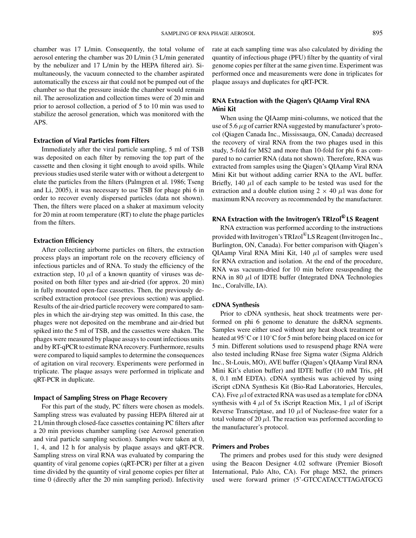chamber was 17 L/min. Consequently, the total volume of aerosol entering the chamber was 20 L/min (3 L/min generated by the nebulizer and 17 L/min by the HEPA filtered air). Simultaneously, the vacuum connected to the chamber aspirated automatically the excess air that could not be pumped out of the chamber so that the pressure inside the chamber would remain nil. The aerosolization and collection times were of 20 min and prior to aerosol collection, a period of 5 to 10 min was used to stabilize the aerosol generation, which was monitored with the APS.

## **Extraction of Viral Particles from Filters**

Immediately after the viral particle sampling, 5 ml of TSB was deposited on each filter by removing the top part of the cassette and then closing it tight enough to avoid spills. While previous studies used sterile water with or without a detergent to elute the particles from the filters (Palmgren et al. 1986; Tseng and Li, 2005), it was necessary to use TSB for phage phi 6 in order to recover evenly dispersed particles (data not shown). Then, the filters were placed on a shaker at maximum velocity for 20 min at room temperature (RT) to elute the phage particles from the filters.

## **Extraction Efficiency**

After collecting airborne particles on filters, the extraction process plays an important role on the recovery efficiency of infectious particles and of RNA. To study the efficiency of the extraction step, 10  $\mu$ l of a known quantity of viruses was deposited on both filter types and air-dried (for approx. 20 min) in fully mounted open-face cassettes. Then, the previously described extraction protocol (see previous section) was applied. Results of the air-dried particle recovery were compared to samples in which the air-drying step was omitted. In this case, the phages were not deposited on the membrane and air-dried but spiked into the 5 ml of TSB, and the cassettes were shaken. The phages were measured by plaque assays to count infectious units and by RT-qPCR to estimate RNA recovery. Furthermore, results were compared to liquid samples to determine the consequences of agitation on viral recovery. Experiments were performed in triplicate. The plaque assays were performed in triplicate and qRT-PCR in duplicate.

### **Impact of Sampling Stress on Phage Recovery**

For this part of the study, PC filters were chosen as models. Sampling stress was evaluated by passing HEPA filtered air at 2 L/min through closed-face cassettes containing PC filters after a 20 min previous chamber sampling (see Aerosol generation and viral particle sampling section). Samples were taken at 0, 1, 4, and 12 h for analysis by plaque assays and qRT-PCR. Sampling stress on viral RNA was evaluated by comparing the quantity of viral genome copies (qRT-PCR) per filter at a given time divided by the quantity of viral genome copies per filter at time 0 (directly after the 20 min sampling period). Infectivity

rate at each sampling time was also calculated by dividing the quantity of infectious phage (PFU) filter by the quantity of viral genome copies per filter at the same given time. Experiment was performed once and measurements were done in triplicates for plaque assays and duplicates for qRT-PCR.

## **RNA Extraction with the Qiagen's QIAamp Viral RNA Mini Kit**

When using the QIAamp mini-columns, we noticed that the use of 5.6*µ*g of carrier RNA suggested by manufacturer's protocol (Qiagen Canada Inc., Mississauga, ON, Canada) decreased the recovery of viral RNA from the two phages used in this study, 5-fold for MS2 and more than 10-fold for phi 6 as compared to no carrier RNA (data not shown). Therefore, RNA was extracted from samples using the Qiagen's QIAamp Viral RNA Mini Kit but without adding carrier RNA to the AVL buffer. Briefly, 140  $\mu$ l of each sample to be tested was used for the extraction and a double elution using  $2 \times 40 \mu l$  was done for maximum RNA recovery as recommended by the manufacturer.

## **RNA Extraction with the Invitrogen's TRIzol<sup>R</sup> LS Reagent**

RNA extraction was performed according to the instructions provided with Invitrogen's TRIzol®LS Reagent (Invitrogen Inc., Burlington, ON, Canada). For better comparison with Qiagen's QIAamp Viral RNA Mini Kit, 140 *µ*l of samples were used for RNA extraction and isolation. At the end of the procedure, RNA was vacuum-dried for 10 min before resuspending the RNA in 80  $\mu$ l of IDTE buffer (Integrated DNA Technologies Inc., Coralville, IA).

### **cDNA Synthesis**

Prior to cDNA synthesis, heat shock treatments were performed on phi 6 genome to denature the dsRNA segments. Samples were either used without any heat shock treatment or heated at 95<sup>°</sup>C or 110<sup>°</sup>C for 5 min before being placed on ice for 5 min. Different solutions used to resuspend phage RNA were also tested including RNase free Sigma water (Sigma Aldrich Inc., St-Louis, MO), AVE buffer (Qiagen's QIAamp Viral RNA Mini Kit's elution buffer) and IDTE buffer (10 mM Tris, pH 8, 0.1 mM EDTA). cDNA synthesis was achieved by using iScript cDNA Synthesis Kit (Bio-Rad Laboratories, Hercules, CA). Five  $\mu$ l of extracted RNA was used as a template for cDNA synthesis with 4  $\mu$ l of 5x iScript Reaction Mix, 1  $\mu$ l of iScript Reverse Transcriptase, and 10 *µ*l of Nuclease-free water for a total volume of 20  $\mu$ l. The reaction was performed according to the manufacturer's protocol.

#### **Primers and Probes**

The primers and probes used for this study were designed using the Beacon Designer 4.02 software (Premier Biosoft International, Palo Alto, CA). For phage MS2, the primers used were forward primer (5'-GTCCATACCTTAGATGCG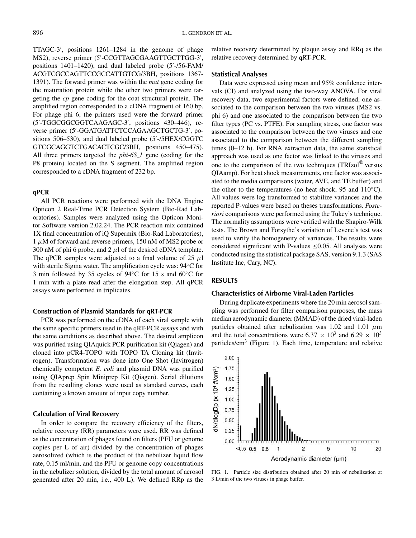TTAGC-3 , positions 1261–1284 in the genome of phage MS2), reverse primer (5 -CCGTTAGCGAAGTTGCTTGG-3 , positions 1401–1420), and dual labeled probe (5'-/56-FAM/ ACGTCGCCAGTTCCGCCATTGTCG/3BH, positions 1367- 1391). The forward primer was within the *mat* gene coding for the maturation protein while the other two primers were targeting the *cp* gene coding for the coat structural protein. The amplified region corresponded to a cDNA fragment of 160 bp. For phage phi 6, the primers used were the forward primer (5 -TGGCGGCGGTCAAGAGC-3 , positions 430–446), reverse primer (5 -GGATGATTCTCCAGAAGCTGCTG-3 , positions 506–530), and dual labeled probe (5'-/5HEX/CGGTC GTCGCAGGTCTGACACTCGC/3BH, positions 450–475). All three primers targeted the *phi-6S\_1* gene (coding for the P8 protein) located on the S segment. The amplified region corresponded to a cDNA fragment of 232 bp.

## **qPCR**

All PCR reactions were performed with the DNA Engine Opticon 2 Real-Time PCR Detection System (Bio-Rad Laboratories). Samples were analyzed using the Opticon Monitor Software version 2.02.24. The PCR reaction mix contained 1X final concentration of iQ Supermix (Bio-Rad Laboratories), 1 *µ*M of forward and reverse primers, 150 nM of MS2 probe or 300 nM of phi 6 probe, and 2  $\mu$ l of the desired cDNA template. The qPCR samples were adjusted to a final volume of  $25 \mu l$ with sterile Sigma water. The amplification cycle was: 94◦C for 3 min followed by 35 cycles of 94◦C for 15 s and 60◦C for 1 min with a plate read after the elongation step. All qPCR assays were performed in triplicates.

#### **Construction of Plasmid Standards for qRT-PCR**

PCR was performed on the cDNA of each viral sample with the same specific primers used in the qRT-PCR assays and with the same conditions as described above. The desired amplicon was purified using QIAquick PCR purification kit (Qiagen) and cloned into pCR4-TOPO with TOPO TA Cloning kit (Invitrogen). Transformation was done into One Shot (Invitrogen) chemically competent *E. coli* and plasmid DNA was purified using QIAprep Spin Miniprep Kit (Qiagen). Serial dilutions from the resulting clones were used as standard curves, each containing a known amount of input copy number.

#### **Calculation of Viral Recovery**

In order to compare the recovery efficiency of the filters, relative recovery (RR) parameters were used. RR was defined as the concentration of phages found on filters (PFU or genome copies per L of air) divided by the concentration of phages aerosolized (which is the product of the nebulizer liquid flow rate, 0.15 ml/min, and the PFU or genome copy concentrations in the nebulizer solution, divided by the total amount of aerosol generated after 20 min, i.e., 400 L). We defined RRp as the relative recovery determined by plaque assay and RRq as the relative recovery determined by qRT-PCR.

## **Statistical Analyses**

Data were expressed using mean and 95% confidence intervals (CI) and analyzed using the two-way ANOVA. For viral recovery data, two experimental factors were defined, one associated to the comparison between the two viruses (MS2 vs. phi 6) and one associated to the comparison between the two filter types (PC vs. PTFE). For sampling stress, one factor was associated to the comparison between the two viruses and one associated to the comparison between the different sampling times (0–12 h). For RNA extraction data, the same statistical approach was used as one factor was linked to the viruses and one to the comparison of the two techniques  $(TRIzol^{\circledR})$  versus QIAamp). For heat shock measurements, one factor was associated to the media comparisons (water, AVE, and TE buffer) and the other to the temperatures (no heat shock, 95 and  $110^{\circ}$ C). All values were log transformed to stabilize variances and the reported P-values were based on theses transformations. *Posteriori* comparisons were performed using the Tukey's technique. The normality assumptions were verified with the Shapiro-Wilk tests. The Brown and Forsythe's variation of Levene's test was used to verify the homogeneity of variances. The results were considered significant with P-values  $\leq 0.05$ . All analyses were conducted using the statistical package SAS, version 9.1.3 (SAS Institute Inc, Cary, NC).

## **RESULTS**

#### **Characteristics of Airborne Viral-Laden Particles**

During duplicate experiments where the 20 min aerosol sampling was performed for filter comparison purposes, the mass median aerodynamic diameter (MMAD) of the dried viral-laden particles obtained after nebulization was 1.02 and 1.01 *µ*m and the total concentrations were 6.37  $\times$  10<sup>3</sup> and 6.29  $\times$  10<sup>3</sup> particles/ $\text{cm}^3$  (Figure 1). Each time, temperature and relative



FIG. 1. Particle size distribution obtained after 20 min of nebulization at 3 L/min of the two viruses in phage buffer.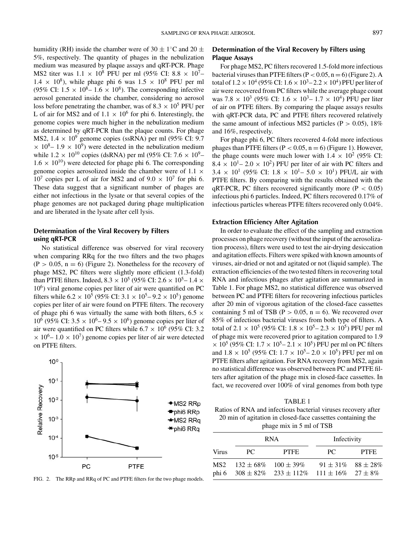humidity (RH) inside the chamber were of 30  $\pm$  1<sup>°</sup>C and 20  $\pm$ 5%, respectively. The quantity of phages in the nebulization medium was measured by plaque assays and qRT-PCR. Phage MS2 titer was  $1.1 \times 10^8$  PFU per ml (95% CI: 8.8  $\times 10^7$ –  $1.4 \times 10^8$ ), while phage phi 6 was  $1.5 \times 10^8$  PFU per ml (95% CI:  $1.5 \times 10^8 - 1.6 \times 10^8$ ). The corresponding infective aerosol generated inside the chamber, considering no aerosol loss before penetrating the chamber, was of  $8.3 \times 10^5$  PFU per L of air for MS2 and of  $1.1 \times 10^6$  for phi 6. Interestingly, the genome copies were much higher in the nebulization medium as determined by qRT-PCR than the plaque counts. For phage MS2,  $1.4 \times 10^9$  genome copies (ssRNA) per ml (95% CI: 9.7  $\times$  10<sup>8</sup>– 1.9  $\times$  10<sup>9</sup>) were detected in the nebulization medium while  $1.2 \times 10^{10}$  copies (dsRNA) per ml (95% CI: 7.6  $\times 10^{9}$ –  $1.6 \times 10^{10}$ ) were detected for phage phi 6. The corresponding genome copies aerosolized inside the chamber were of 1.1  $\times$  $10^7$  copies per L of air for MS2 and of  $9.0 \times 10^7$  for phi 6. These data suggest that a significant number of phages are either not infectious in the lysate or that several copies of the phage genomes are not packaged during phage multiplication and are liberated in the lysate after cell lysis.

## **Determination of the Viral Recovery by Filters using qRT-PCR**

No statistical difference was observed for viral recovery when comparing RRq for the two filters and the two phages  $(P > 0.05, n = 6)$  (Figure 2). Nonetheless for the recovery of phage MS2, PC filters were slightly more efficient (1.3-fold) than PTFE filters. Indeed,  $8.3 \times 10^5$  (95% CI:  $2.6 \times 10^5$  –  $1.4 \times$  $10<sup>6</sup>$ ) viral genome copies per liter of air were quantified on PC filters while  $6.2 \times 10^5$  (95% CI:  $3.1 \times 10^5 - 9.2 \times 10^5$ ) genome copies per liter of air were found on PTFE filters. The recovery of phage phi 6 was virtually the same with both filters, 6.5  $\times$  $10^6$  (95% CI: 3.5  $\times$  10<sup>6</sup> – 9.5  $\times$  10<sup>6</sup>) genome copies per liter of air were quantified on PC filters while  $6.7 \times 10^6$  (95% CI: 3.2)  $\times$  10<sup>6</sup>– 1.0  $\times$  10<sup>7</sup>) genome copies per liter of air were detected on PTFE filters.



FIG. 2. The RRp and RRq of PC and PTFE filters for the two phage models.

## **Determination of the Viral Recovery by Filters using Plaque Assays**

For phage MS2, PC filters recovered 1.5-fold more infectious bacterial viruses than PTFE filters  $(P < 0.05, n = 6)$  (Figure 2). A total of  $1.2 \times 10^4$  (95% CI:  $1.6 \times 10^3$  –  $2.2 \times 10^4$ ) PFU per liter of air were recovered from PC filters while the average phage count was 7.8  $\times$  10<sup>3</sup> (95% CI: 1.6  $\times$  10<sup>3</sup> – 1.7  $\times$  10<sup>4</sup>) PFU per liter of air on PTFE filters. By comparing the plaque assays results with qRT-PCR data, PC and PTFE filters recovered relatively the same amount of infectious MS2 particles (P *>* 0.05), 18% and 16%, respectively.

For phage phi 6, PC filters recovered 4-fold more infectious phages than PTFE filters  $(P < 0.05, n = 6)$  (Figure 1). However, the phage counts were much lower with  $1.4 \times 10^2$  (95% CI:  $8.4 \times 10^{1} - 2.0 \times 10^{2}$ ) PFU per liter of air with PC filters and  $3.4 \times 10^{1}$  (95% CI:  $1.8 \times 10^{1} - 5.0 \times 10^{1}$ ) PFU/L air with PTFE filters. By comparing with the results obtained with the qRT-PCR, PC filters recovered significantly more (P *<* 0.05) infectious phi 6 particles. Indeed, PC filters recovered 0.17% of infectious particles whereas PTFE filters recovered only 0.04%.

#### **Extraction Efficiency After Agitation**

In order to evaluate the effect of the sampling and extraction processes on phage recovery (without the input of the aerosolization process), filters were used to test the air-drying desiccation and agitation effects. Filters were spiked with known amounts of viruses, air-dried or not and agitated or not (liquid sample). The extraction efficiencies of the two tested filters in recovering total RNA and infectious phages after agitation are summarized in Table 1. For phage MS2, no statistical difference was observed between PC and PTFE filters for recovering infectious particles after 20 min of vigorous agitation of the closed-face cassettes containing 5 ml of TSB ( $P > 0.05$ ,  $n = 6$ ). We recovered over 85% of infectious bacterial viruses from both type of filters. A total of 2.1  $\times$  10<sup>5</sup> (95% CI: 1.8  $\times$  10<sup>5</sup> – 2.3  $\times$  10<sup>5</sup>) PFU per ml of phage mix were recovered prior to agitation compared to 1.9  $\times$  10<sup>5</sup> (95% CI: 1.7  $\times$  10<sup>5</sup> – 2.1  $\times$  10<sup>5</sup>) PFU per ml on PC filters and  $1.8 \times 10^5$  (95% CI:  $1.7 \times 10^5$  –  $2.0 \times 10^5$ ) PFU per ml on PTFE filters after agitation. For RNA recovery from MS2, again no statistical difference was observed between PC and PTFE filters after agitation of the phage mix in closed-face cassettes. In fact, we recovered over 100% of viral genomes from both type

#### TABLE 1

Ratios of RNA and infectious bacterial viruses recovery after 20 min of agitation in closed-face cassettes containing the phage mix in 5 ml of TSB

|       | <b>RNA</b> |                                                                                                   | Infectivity                 |             |
|-------|------------|---------------------------------------------------------------------------------------------------|-----------------------------|-------------|
| Virus | PC.        | <b>PTFE</b>                                                                                       | PC.                         | <b>PTFE</b> |
| MS2 - |            | $132 \pm 68\%$ $100 \pm 39\%$<br>phi 6 $308 \pm 82\%$ $233 \pm 112\%$ $111 \pm 16\%$ $27 \pm 8\%$ | $91 \pm 31\%$ $88 \pm 28\%$ |             |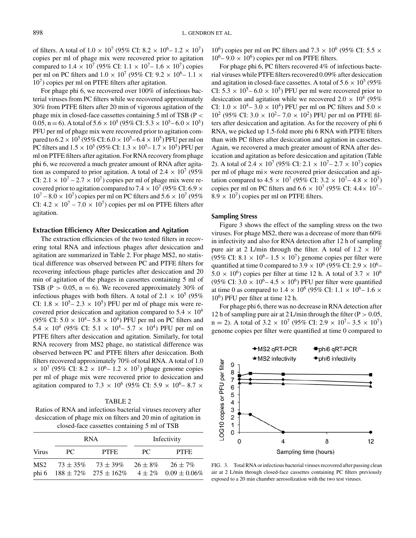of filters. A total of  $1.0 \times 10^7$  (95% CI:  $8.2 \times 10^6$  –  $1.2 \times 10^7$ ) copies per ml of phage mix were recovered prior to agitation compared to  $1.4 \times 10^7$  (95% CI:  $1.1 \times 10^7 - 1.6 \times 10^7$ ) copies per ml on PC filters and  $1.0 \times 10^7$  (95% CI: 9.2  $\times 10^6$  – 1.1  $\times$  $10<sup>7</sup>$ ) copies per ml on PTFE filters after agitation.

For phage phi 6, we recovered over 100% of infectious bacterial viruses from PC filters while we recovered approximately 30% from PTFE filters after 20 min of vigorous agitation of the phage mix in closed-face cassettes containing 5 ml of TSB (P *<* 0.05, n = 6). A total of  $5.6 \times 10^5$  (95% CI:  $5.3 \times 10^5$  –  $6.0 \times 10^5$ ) PFU per ml of phage mix were recovered prior to agitation compared to  $6.2 \times 10^5$  (95% CI:  $6.0 \times 10^5$  –  $6.4 \times 10^5$ ) PFU per ml on PC filters and  $1.5 \times 10^5$  (95% CI:  $1.3 \times 10^5$  –  $1.7 \times 10^5$ ) PFU per ml on PTFE filters after agitation. For RNA recovery from phage phi 6, we recovered a much greater amount of RNA after agitation as compared to prior agitation. A total of  $2.4 \times 10^7$  (95%) CI:  $2.1 \times 10^7 - 2.7 \times 10^7$ ) copies per ml of phage mix were recovered prior to agitation compared to 7.4  $\times$  10<sup>7</sup> (95% CI: 6.9  $\times$  $10^7 - 8.0 \times 10^7$ ) copies per ml on PC filters and  $5.6 \times 10^7$  (95%) CI:  $4.2 \times 10^7 - 7.0 \times 10^7$  copies per ml on PTFE filters after agitation.

## **Extraction Efficiency After Desiccation and Agitation**

The extraction efficiencies of the two tested filters in recovering total RNA and infectious phages after desiccation and agitation are summarized in Table 2. For phage MS2, no statistical difference was observed between PC and PTFE filters for recovering infectious phage particles after desiccation and 20 min of agitation of the phages in cassettes containing 5 ml of TSB ( $P > 0.05$ ,  $n = 6$ ). We recovered approximately 30% of infectious phages with both filters. A total of  $2.1 \times 10^5$  (95%) CI:  $1.8 \times 10^5 - 2.3 \times 10^5$ ) PFU per ml of phage mix were recovered prior desiccation and agitation compared to  $5.4 \times 10^4$ (95% CI:  $5.0 \times 10^{4} - 5.8 \times 10^{4}$ ) PFU per ml on PC filters and 5.4  $\times$  10<sup>4</sup> (95% CI: 5.1  $\times$  10<sup>4</sup> – 5.7  $\times$  10<sup>4</sup>) PFU per ml on PTFE filters after desiccation and agitation. Similarly, for total RNA recovery from MS2 phage, no statistical difference was observed between PC and PTFE filters after desiccation. Both filters recovered approximately 70% of total RNA. A total of 1.0  $\times$  10<sup>7</sup> (95% CI: 8.2  $\times$  10<sup>6</sup> – 1.2  $\times$  10<sup>7</sup>) phage genome copies per ml of phage mix were recovered prior to desiccation and agitation compared to 7.3  $\times$  10<sup>6</sup> (95% CI: 5.9  $\times$  10<sup>6</sup> – 8.7  $\times$ 

#### TABLE 2

Ratios of RNA and infectious bacterial viruses recovery after desiccation of phage mix on filters and 20 min of agitation in closed-face cassettes containing 5 ml of TSB

|                 | <b>RNA</b> |                                                                     | Infectivity  |                                              |
|-----------------|------------|---------------------------------------------------------------------|--------------|----------------------------------------------|
| <b>Virus</b>    | PC.        | <b>PTFE</b>                                                         | PC.          | <b>PTFF</b>                                  |
| MS <sub>2</sub> |            | $73 \pm 35\%$ $73 \pm 39\%$<br>phi 6 $188 \pm 72\%$ $275 \pm 162\%$ | $26 \pm 8\%$ | $26 \pm 7\%$<br>$4 \pm 2\%$ 0.09 $\pm$ 0.06% |

 $10^6$ ) copies per ml on PC filters and  $7.3 \times 10^6$  (95% CI: 5.5  $\times$  $10^6$ – 9.0 × 10<sup>6</sup>) copies per ml on PTFE filters.

For phage phi 6, PC filters recovered 4% of infectious bacterial viruses while PTFE filters recovered 0.09% after desiccation and agitation in closed-face cassettes. A total of  $5.6 \times 10^5$  (95%) CI:  $5.3 \times 10^5 - 6.0 \times 10^5$ ) PFU per ml were recovered prior to desiccation and agitation while we recovered  $2.0 \times 10^4$  (95%) CI:  $1.0 \times 10^4 - 3.0 \times 10^4$ ) PFU per ml on PC filters and  $5.0 \times$  $10^2$  (95% CI: 3.0  $\times$  10<sup>2</sup> – 7.0  $\times$  10<sup>2</sup>) PFU per ml on PTFE filters after desiccation and agitation. As for the recovery of phi 6 RNA, we picked up 1.5-fold more phi 6 RNA with PTFE filters than with PC filters after desiccation and agitation in cassettes. Again, we recovered a much greater amount of RNA after desiccation and agitation as before desiccation and agitation (Table 2). A total of 2.4  $\times$  10<sup>7</sup> (95% CI: 2.1  $\times$  10<sup>7</sup> – 2.7  $\times$  10<sup>7</sup>) copies per ml of phage  $m \times w$  were recovered prior desiccation and agitation compared to 4.5  $\times$  10<sup>7</sup> (95% CI: 3.2  $\times$  10<sup>7</sup> – 4.8  $\times$  10<sup>7</sup>) copies per ml on PC filters and  $6.6 \times 10^7$  (95% CI: 4.4× 10<sup>7</sup>–  $8.9 \times 10^7$ ) copies per ml on PTFE filters.

## **Sampling Stress**

Figure 3 shows the effect of the sampling stress on the two viruses. For phage MS2, there was a decrease of more than 60% in infectivity and also for RNA detection after 12 h of sampling pure air at 2 L/min through the filter. A total of  $1.2 \times 10^7$ (95% CI: 8.1  $\times$  10<sup>6</sup> – 1.5  $\times$  10<sup>7</sup>) genome copies per filter were quantified at time 0 compared to 3.9  $\times$  10<sup>6</sup> (95% CI: 2.9  $\times$  10<sup>6</sup>–  $5.0 \times 10^6$ ) copies per filter at time 12 h. A total of  $3.7 \times 10^6$ (95% CI:  $3.0 \times 10^6$  –  $4.5 \times 10^6$ ) PFU per filter were quantified at time 0 as compared to 1.4  $\times$  10<sup>6</sup> (95% CI: 1.1  $\times$  10<sup>6</sup>– 1.6  $\times$  $10<sup>6</sup>$ ) PFU per filter at time 12 h.

For phage phi 6, there was no decrease in RNA detection after 12 h of sampling pure air at 2 L/min through the filter ( $P > 0.05$ ,  $n = 2$ ). A total of 3.2  $\times$  10<sup>7</sup> (95% CI: 2.9  $\times$  10<sup>7</sup> – 3.5  $\times$  10<sup>7</sup>) genome copies per filter were quantified at time 0 compared to



FIG. 3. Total RNA or infectious bacterial viruses recovered after passing clean air at 2 L/min through closed-face cassettes containing PC filters previously exposed to a 20 min chamber aerosolization with the two test viruses.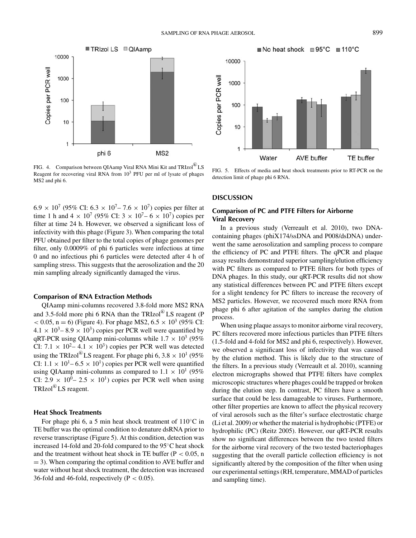

No heat shock 95°C = 110°C 10000 Copies per PCR well 1000 100 10 1 **AVE buffer TE** buffer Water

FIG. 4. Comparison between QIAamp Viral RNA Mini Kit and TRIzol<sup>®</sup>LS Reagent for recovering viral RNA from  $10<sup>3</sup>$  PFU per ml of lysate of phages MS2 and phi 6.

FIG. 5. Effects of media and heat shock treatments prior to RT-PCR on the detection limit of phage phi 6 RNA.

## **DISCUSSION**

## **Comparison of PC and PTFE Filters for Airborne Viral Recovery**

In a previous study (Verreault et al. 2010), two DNAcontaining phages (phiX174/ssDNA and P008/dsDNA) underwent the same aerosolization and sampling process to compare the efficiency of PC and PTFE filters. The qPCR and plaque assay results demonstrated superior sampling/elution efficiency with PC filters as compared to PTFE filters for both types of DNA phages. In this study, our qRT-PCR results did not show any statistical differences between PC and PTFE filters except for a slight tendency for PC filters to increase the recovery of MS2 particles. However, we recovered much more RNA from phage phi 6 after agitation of the samples during the elution process.

When using plaque assays to monitor airborne viral recovery, PC filters recovered more infectious particles than PTFE filters (1.5-fold and 4-fold for MS2 and phi 6, respectively). However, we observed a significant loss of infectivity that was caused by the elution method. This is likely due to the structure of the filters. In a previous study (Verreault et al. 2010), scanning electron micrographs showed that PTFE filters have complex microscopic structures where phages could be trapped or broken during the elution step. In contrast, PC filters have a smooth surface that could be less damageable to viruses. Furthermore, other filter properties are known to affect the physical recovery of viral aerosols such as the filter's surface electrostatic charge (Li et al. 2009) or whether the material is hydrophobic (PTFE) or hydrophilic (PC) (Reitz 2005). However, our qRT-PCR results show no significant differences between the two tested filters for the airborne viral recovery of the two tested bacteriophages suggesting that the overall particle collection efficiency is not significantly altered by the composition of the filter when using our experimental settings (RH, temperature, MMAD of particles and sampling time).

 $6.9 \times 10^{7}$  (95% CI:  $6.3 \times 10^{7}$  – 7.6  $\times 10^{7}$ ) copies per filter at time 1 h and 4  $\times$  10<sup>7</sup> (95% CI: 3  $\times$  10<sup>7</sup> – 6  $\times$  10<sup>7</sup>) copies per filter at time 24 h. However, we observed a significant loss of infectivity with this phage (Figure 3). When comparing the total PFU obtained per filter to the total copies of phage genomes per filter, only 0.0009% of phi 6 particles were infectious at time 0 and no infectious phi 6 particles were detected after 4 h of sampling stress. This suggests that the aerosolization and the 20 min sampling already significantly damaged the virus.

#### **Comparison of RNA Extraction Methods**

QIAamp mini-columns recovered 3.8-fold more MS2 RNA and 3.5-fold more phi 6 RNA than the  $TRIzol^{\circledR}LS$  reagent (P  $< 0.05$ , n = 6) (Figure 4). For phage MS2,  $6.5 \times 10^3$  (95% CI:  $4.1 \times 10^3 - 8.9 \times 10^3$  copies per PCR well were quantified by qRT-PCR using QIAamp mini-columns while  $1.7 \times 10^3$  (95%) CI: 7.1  $\times$  10<sup>2</sup> – 4.1  $\times$  10<sup>3</sup>) copies per PCR well was detected using the TRIzol<sup>®</sup>LS reagent. For phage phi 6,  $3.8 \times 10^{1}$  (95%) CI:  $1.1 \times 10^{1} - 6.5 \times 10^{1}$  copies per PCR well were quantified using QIAamp mini-columns as compared to  $1.1 \times 10^{1}$  (95%) CI:  $2.9 \times 10^{0} - 2.5 \times 10^{1}$  copies per PCR well when using TRIzol<sup>®</sup> LS reagent.

#### **Heat Shock Treatments**

For phage phi 6, a 5 min heat shock treatment of  $110\degree$ C in TE buffer was the optimal condition to denature dsRNA prior to reverse transcriptase (Figure 5). At this condition, detection was increased 14-fold and 20-fold compared to the 95◦C heat shock and the treatment without heat shock in TE buffer (P *<* 0.05, n  $= 3$ ). When comparing the optimal condition to AVE buffer and water without heat shock treatment, the detection was increased 36-fold and 46-fold, respectively (P *<* 0.05).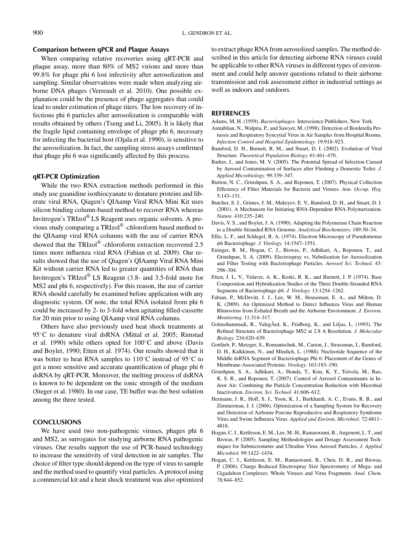## **Comparison between qPCR and Plaque Assays**

When comparing relative recoveries using qRT-PCR and plaque assay, more than 80% of MS2 virions and more than 99.8% for phage phi 6 lost infectivity after aerosolization and sampling. Similar observations were made when analyzing airborne DNA phages (Verreault et al. 2010). One possible explanation could be the presence of phage aggregates that could lead to under estimation of phage titers. The low recovery of infectious phi 6 particles after aerosolization is comparable with results obtained by others (Tseng and Li, 2005). It is likely that the fragile lipid containing envelope of phage phi 6, necessary for infecting the bacterial host (Ojala et al. 1990), is sensitive to the aerosolization. In fact, the sampling stress assays confirmed that phage phi 6 was significantly affected by this process.

## **qRT-PCR Optimization**

While the two RNA extraction methods performed in this study use guanidine isothiocyanate to denature proteins and liberate viral RNA, Qiagen's QIAamp Viral RNA Mini Kit uses silicon binding column-based method to recover RNA whereas Invitrogen's TRIzol<sup>®</sup>LS Reagent uses organic solvents. A previous study comparing a TRIzol®-chloroform based method to the QIAamp viral RNA columns with the use of carrier RNA showed that the  $TRIzol^{\circledR}$ -chloroform extraction recovered 2.5 times more influenza viral RNA (Fabian et al. 2009). Our results showed that the use of Qiagen's QIAamp Viral RNA Mini Kit without carrier RNA led to greater quantities of RNA than Invitrogen's  $TRIzol^{\circledR}$  LS Reagent (3.8- and 3.5-fold more for MS2 and phi 6, respectively). For this reason, the use of carrier RNA should carefully be examined before application with any diagnostic system. Of note, the total RNA isolated from phi 6 could be increased by 2- to 3-fold when agitating filled-cassette for 20 min prior to using QIAamp viral RNA columns.

Others have also previously used heat shock treatments at 95◦C to denature viral dsRNA (Mittal et al. 2005; Rimstad et al. 1990) while others opted for 100◦C and above (Davis and Boylet, 1990; Etten et al. 1974). Our results showed that it was better to heat RNA samples to 110◦C instead of 95◦C to get a more sensitive and accurate quantification of phage phi 6 dsRNA by qRT-PCR. Moreover, the melting process of dsRNA is known to be dependent on the ionic strength of the medium (Steger et al. 1980). In our case, TE buffer was the best solution among the three tested.

## **CONCLUSIONS**

We have used two non-pathogenic viruses, phages phi 6 and MS2, as surrogates for studying airborne RNA pathogenic viruses. Our results support the use of PCR-based technology to increase the sensitivity of viral detection in air samples. The choice of filter type should depend on the type of virus to sample and the method used to quantify viral particles. A protocol using a commercial kit and a heat shock treatment was also optimized to extract phage RNA from aerosolized samples. The method described in this article for detecting airborne RNA viruses could be applicable to other RNA viruses in different types of environment and could help answer questions related to their airborne transmission and risk assessment either in industrial settings as well as indoors and outdoors.

## **REFERENCES**

- Adams, M. H. (1959). *Bacteriophages*. Interscience Publishers, New York.
- Aintablian, N., Walpita, P., and Sawyer, M. (1998). Detection of Bordetella Pertussis and Respiratory Syncytial Virus in Air Samples from Hospital Rooms. *Infection Control and Hospital Epidemiology.* 19:918–923.
- Bamford, D. H., Burnett, R. M., and Stuart, D. I. (2002). Evolution of Viral Structure. *Theoretical Population Biology.* 61:461–470.
- Barker, J., and Jones, M. V. (2005). The Potential Spread of Infection Caused by Aerosol Contamination of Surfaces after Flushing a Domestic Toilet. *J. Applied Microbiology.* 99:339–347.
- Burton, N. C., Grinshpun, S. A., and Reponen, T. (2007). Physical Collection Efficiency of Filter Materials for Bacteria and Viruses. *Ann. Occup. Hyg.* 5:143–151.
- Butcher, S. J., Grimes, J. M., Makeyev, E. V., Bamford, D. H., and Stuart, D. I. (2001). A Mechanism for Initiating RNA-Dependent RNA Polymerization. *Nature.* 410:235–240.
- Davis, V. S., and Boylet, J. A. (1990). Adapting the Polymerase Chain Reaction to a Double-Stranded RNA Genome. *Analytical Biochemistry.* 189:30–34.
- Ellis, L. F., and Schlegel, R. A. (1974). Electron Microscopy of Pseudomonas *φ*6 Bacteriophage. *J. Virology.* 14:1547–1551.
- Eninger, R. M., Hogan, C. J., Biswas, P., Adhikari, A., Reponen, T., and Grinshpun, S. A. (2009). Electrospray vs. Nebulization for Aerosolization and Filter Testing with Bacteriophage Particles. *Aerosol Sci. Technol.* 43: 298–304.
- Etten, J. L. V., Vidaver, A. K., Koski, R. K., and Burnett, J. P. (1974). Base Composition and Hybridization Studies of the Three Double-Stranded RNA Segments of Bacteriophage *φ*6. *J. Virology.* 13:1254–1262.
- Fabian, P., McDevitt, J. J., Lee, W. M., Houseman, E. A., and Milton, D. K. (2009). An Optimized Method to Detect Influenza Virus and Human Rhinovirus from Exhaled Breath and the Airborne Environment. *J. Environ. Monitoring.* 11:314–317.
- Golmohammadi, R., ValegÂrd, K., Fridborg, K., and Liljas, L. (1993). The Refined Structure of Bacteriophage MS2 at 2.8 A Resolution. *J. Molecular Biology.* 234:620–639.
- Gottlieb, P., Metzger, S., Romantschuk, M., Carton, J., Strassman, J., Bamford, D. H., Kalkkinen, N., and Mindich, L. (1988). Nucleotide Sequence of the Middle dsRNA Segment of Bacteriophage Phi 6: Placement of the Genes of Membrane-Associated Proteins. *Virology.* 163:183–190.
- Grinshpun, S. A., Adhikari, A., Honda, T., Kim, K. Y., Toivola, M., Rao, K. S. R., and Reponen, T. (2007). Control of Aerosol Contaminants in Indoor Air: Combining the Particle Concentration Reduction with Microbial Inactivation. *Environ. Sci. Technol.* 41:606–612.
- Hermann, J. R., Hoff, S. J., Yoon, K. J., Burkhardt, A. C., Evans, R. B., and Zimmerman, J. J. (2006). Optimization of a Sampling System for Recovery and Detection of Airborne Porcine Reproductive and Respiratory Syndrome Virus and Swine Influenza Virus. *Applied and Environ. Microbiol.* 72:4811– 4818.
- Hogan, C. J., Kettleson, E. M., Lee, M.-H., Ramaswami, B., Angenent, L. T., and Biswas, P. (2005). Sampling Methodologies and Dosage Assessment Techniques for Submicrometre and Ultrafine Virus Aerosol Particles. *J. Applied Microbiol.* 99:1422–1434.
- Hogan, C. J., Kettleson, E. M., Ramaswami, B., Chen, D. R., and Biswas, P. (2006). Charge Reduced Electrospray Size Spectrometry of Mega- and Gigadalton Complexes: Whole Viruses and Virus Fragments. *Anal. Chem.* 78:844–852.